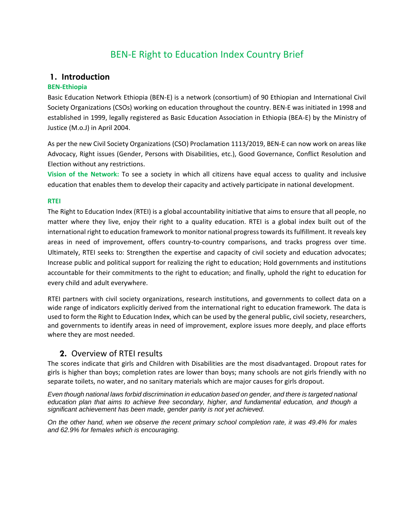# BEN-E Right to Education Index Country Brief

### **1. Introduction**

### **BEN-Ethiopia**

Basic Education Network Ethiopia (BEN-E) is a network (consortium) of 90 Ethiopian and International Civil Society Organizations (CSOs) working on education throughout the country. BEN-E was initiated in 1998 and established in 1999, legally registered as Basic Education Association in Ethiopia (BEA-E) by the Ministry of Justice (M.o.J) in April 2004.

As per the new Civil Society Organizations (CSO) Proclamation 1113/2019, BEN-E can now work on areas like Advocacy, Right issues (Gender, Persons with Disabilities, etc.), Good Governance, Conflict Resolution and Election without any restrictions.

**Vision of the Network:** To see a society in which all citizens have equal access to quality and inclusive education that enables them to develop their capacity and actively participate in national development.

### **RTEI**

The Right to Education Index (RTEI) is a global accountability initiative that aims to ensure that all people, no matter where they live, enjoy their right to a quality education. RTEI is a global index built out of the international right to education framework to monitor national progress towards its fulfillment. It reveals key areas in need of improvement, offers country-to-country comparisons, and tracks progress over time. Ultimately, RTEI seeks to: Strengthen the expertise and capacity of civil society and education advocates; Increase public and political support for realizing the right to education; Hold governments and institutions accountable for their commitments to the right to education; and finally, uphold the right to education for every child and adult everywhere.

RTEI partners with civil society organizations, research institutions, and governments to collect data on a wide range of indicators explicitly derived from the international right to education framework. The data is used to form the Right to Education Index, which can be used by the general public, civil society, researchers, and governments to identify areas in need of improvement, explore issues more deeply, and place efforts where they are most needed.

## **2.** Overview of RTEI results

The scores indicate that girls and Children with Disabilities are the most disadvantaged. Dropout rates for girls is higher than boys; completion rates are lower than boys; many schools are not girls friendly with no separate toilets, no water, and no sanitary materials which are major causes for girls dropout.

*Even though national laws forbid discrimination in education based on gender, and there is targeted national education plan that aims to achieve free secondary, higher, and fundamental education, and though a significant achievement has been made, gender parity is not yet achieved.*

*On the other hand, when we observe the recent primary school completion rate, it was 49.4% for males and 62.9% for females which is encouraging.*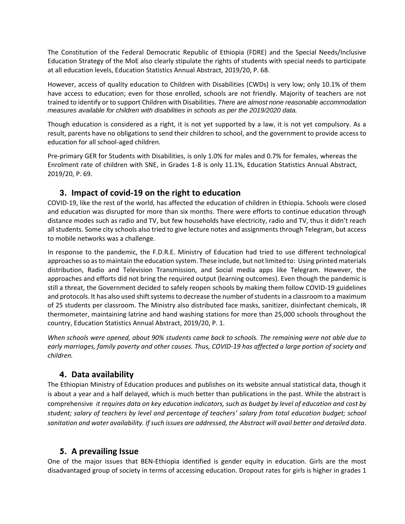The Constitution of the Federal Democratic Republic of Ethiopia (FDRE) and the Special Needs/Inclusive Education Strategy of the MoE also clearly stipulate the rights of students with special needs to participate at all education levels, Education Statistics Annual Abstract, 2019/20, P. 68.

However, access of quality education to Children with Disabilities (CWDs) is very low; only 10.1% of them have access to education; even for those enrolled, schools are not friendly. Majority of teachers are not trained to identify or to support Children with Disabilities. *There are almost none reasonable accommodation measures available for children with disabilities in schools as per the 2019/2020 data.* 

Though education is considered as a right, it is not yet supported by a law, it is not yet compulsory. As a result, parents have no obligations to send their children to school, and the government to provide access to education for all school-aged children.

Pre-primary GER for Students with Disabilities, is only 1.0% for males and 0.7% for females, whereas the Enrolment rate of children with SNE, in Grades 1-8 is only 11.1%, Education Statistics Annual Abstract, 2019/20, P. 69.

## **3. Impact of covid-19 on the right to education**

COVID-19, like the rest of the world, has affected the education of children in Ethiopia. Schools were closed and education was disrupted for more than six months. There were efforts to continue education through distance modes such as radio and TV, but few households have electricity, radio and TV, thus it didn't reach all students. Some city schools also tried to give lecture notes and assignments through Telegram, but access to mobile networks was a challenge.

In response to the pandemic, the F.D.R.E. Ministry of Education had tried to use different technological approaches so as to maintain the education system. These include, but not limited to: Using printed materials distribution, Radio and Television Transmission, and Social media apps like Telegram. However, the approaches and efforts did not bring the required output (learning outcomes). Even though the pandemic is still a threat, the Government decided to safely reopen schools by making them follow COVID-19 guidelines and protocols. It has also used shift systems to decrease the number of students in a classroom to a maximum of 25 students per classroom. The Ministry also distributed face masks, sanitizer, disinfectant chemicals, IR thermometer, maintaining latrine and hand washing stations for more than 25,000 schools throughout the country, Education Statistics Annual Abstract, 2019/20, P. 1.

*When schools were opened, about 90% students came back to schools. The remaining were not able due to*  early marriages, family poverty and other causes. Thus, COVID-19 has affected a large portion of society and *children.*

## **4. Data availability**

The Ethiopian Ministry of Education produces and publishes on its website annual statistical data, though it is about a year and a half delayed, which is much better than publications in the past. While the abstract is comprehensive *it requires data on key education indicators, such as budget by level of education and cost by student; salary of teachers by level and percentage of teachers' salary from total education budget; school sanitation and water availability. If such issues are addressed, the Abstract will avail better and detailed data*.

## **5. A prevailing Issue**

One of the major issues that BEN-Ethiopia identified is gender equity in education. Girls are the most disadvantaged group of society in terms of accessing education. Dropout rates for girls is higher in grades 1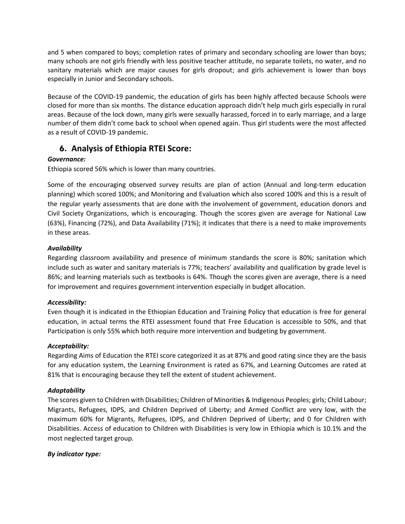and 5 when compared to boys; completion rates of primary and secondary schooling are lower than boys; many schools are not girls friendly with less positive teacher attitude, no separate toilets, no water, and no sanitary materials which are major causes for girls dropout; and girls achievement is lower than boys especially in Junior and Secondary schools.

Because of the COVID-19 pandemic, the education of girls has been highly affected because Schools were closed for more than six months. The distance education approach didn't help much girls especially in rural areas. Because of the lock down, many girls were sexually harassed, forced in to early marriage, and a large number of them didn't come back to school when opened again. Thus girl students were the most affected as a result of COVID-19 pandemic.

# **6. Analysis of Ethiopia RTEI Score:**

### *Governance:*

Ethiopia scored 56% which is lower than many countries.

Some of the encouraging observed survey results are plan of action (Annual and long-term education planning) which scored 100%; and Monitoring and Evaluation which also scored 100% and this is a result of the regular yearly assessments that are done with the involvement of government, education donors and Civil Society Organizations, which is encouraging. Though the scores given are average for National Law (63%), Financing (72%), and Data Availability (71%); it indicates that there is a need to make improvements in these areas.

### *Availability*

Regarding classroom availability and presence of minimum standards the score is 80%; sanitation which include such as water and sanitary materials is 77%; teachers' availability and qualification by grade level is 86%; and learning materials such as textbooks is 64%. Though the scores given are average, there is a need for improvement and requires government intervention especially in budget allocation.

#### *Accessibility:*

Even though it is indicated in the Ethiopian Education and Training Policy that education is free for general education, in actual terms the RTEI assessment found that Free Education is accessible to 50%, and that Participation is only 55% which both require more intervention and budgeting by government.

#### *Acceptability:*

Regarding Aims of Education the RTEI score categorized it as at 87% and good rating since they are the basis for any education system, the Learning Environment is rated as 67%, and Learning Outcomes are rated at 81% that is encouraging because they tell the extent of student achievement.

#### *Adaptability*

The scores given to Children with Disabilities; Children of Minorities & Indigenous Peoples; girls; Child Labour; Migrants, Refugees, IDPS, and Children Deprived of Liberty; and Armed Conflict are very low, with the maximum 60% for Migrants, Refugees, IDPS, and Children Deprived of Liberty; and 0 for Children with Disabilities. Access of education to Children with Disabilities is very low in Ethiopia which is 10.1% and the most neglected target group.

#### *By indicator type:*